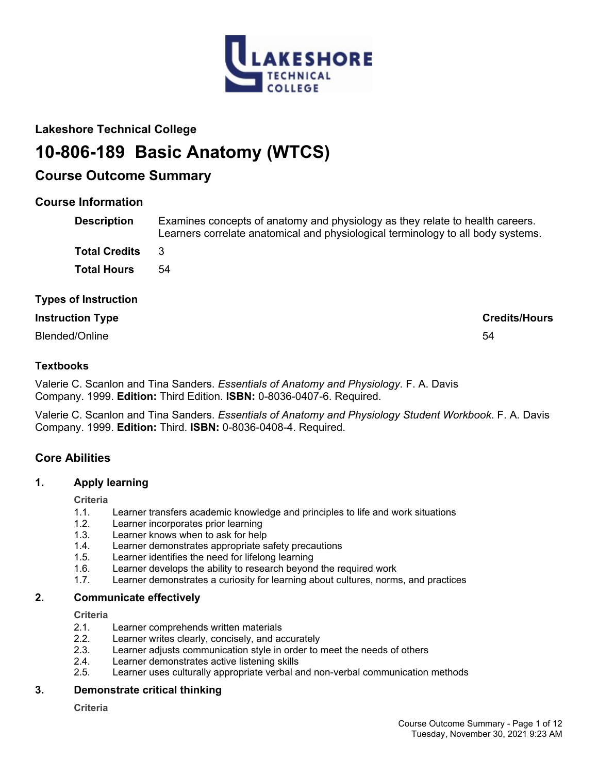

## **Lakeshore Technical College**

# **10-806-189 Basic Anatomy (WTCS)**

## **Course Outcome Summary**

## **Course Information**

| <b>Description</b>          | Examines concepts of anatomy and physiology as they relate to health careers.<br>Learners correlate anatomical and physiological terminology to all body systems. |
|-----------------------------|-------------------------------------------------------------------------------------------------------------------------------------------------------------------|
| <b>Total Credits</b>        | 3                                                                                                                                                                 |
| <b>Total Hours</b>          | 54                                                                                                                                                                |
| <b>Types of Instruction</b> |                                                                                                                                                                   |
| <b>Instruction Type</b>     | <b>Credits/Hours</b>                                                                                                                                              |

Blended/Online 54

## **Textbooks**

Valerie C. Scanlon and Tina Sanders. *Essentials of Anatomy and Physiology*. F. A. Davis Company. 1999. **Edition:** Third Edition. **ISBN:** 0-8036-0407-6. Required.

Valerie C. Scanlon and Tina Sanders. *Essentials of Anatomy and Physiology Student Workbook*. F. A. Davis Company. 1999. **Edition:** Third. **ISBN:** 0-8036-0408-4. Required.

## **Core Abilities**

## **1. Apply learning**

**Criteria**

- 1.1. Learner transfers academic knowledge and principles to life and work situations
- 1.2. Learner incorporates prior learning
- 1.3. Learner knows when to ask for help
- 1.4. Learner demonstrates appropriate safety precautions
- 1.5. Learner identifies the need for lifelong learning
- 1.6. Learner develops the ability to research beyond the required work
- 1.7. Learner demonstrates a curiosity for learning about cultures, norms, and practices

## **2. Communicate effectively**

**Criteria**

- 2.1. Learner comprehends written materials
- 2.2. Learner writes clearly, concisely, and accurately
- 2.3. Learner adjusts communication style in order to meet the needs of others
- 2.4. Learner demonstrates active listening skills
- 2.5. Learner uses culturally appropriate verbal and non-verbal communication methods

## **3. Demonstrate critical thinking**

**Criteria**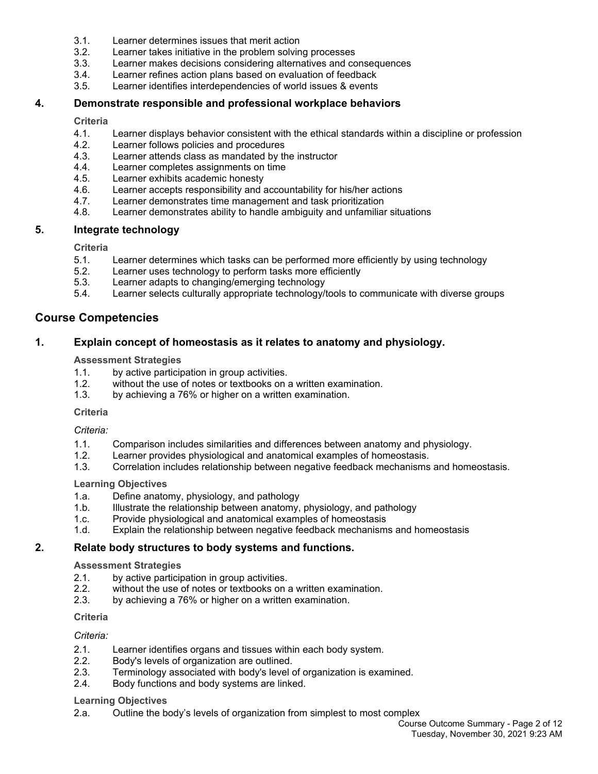- 3.1. Learner determines issues that merit action
- 3.2. Learner takes initiative in the problem solving processes
- 3.3. Learner makes decisions considering alternatives and consequences
- 3.4. Learner refines action plans based on evaluation of feedback
- 3.5. Learner identifies interdependencies of world issues & events

## **4. Demonstrate responsible and professional workplace behaviors**

#### **Criteria**

- 4.1. Learner displays behavior consistent with the ethical standards within a discipline or profession
- 4.2. Learner follows policies and procedures
- 4.3. Learner attends class as mandated by the instructor
- 4.4. Learner completes assignments on time
- 4.5. Learner exhibits academic honesty
- 4.6. Learner accepts responsibility and accountability for his/her actions
- 4.7. Learner demonstrates time management and task prioritization
- 4.8. Learner demonstrates ability to handle ambiguity and unfamiliar situations

## **5. Integrate technology**

## **Criteria**

- 5.1. Learner determines which tasks can be performed more efficiently by using technology
- 5.2. Learner uses technology to perform tasks more efficiently
- 5.3. Learner adapts to changing/emerging technology
- 5.4. Learner selects culturally appropriate technology/tools to communicate with diverse groups

## **Course Competencies**

## **1. Explain concept of homeostasis as it relates to anatomy and physiology.**

## **Assessment Strategies**

- 1.1. by active participation in group activities.
- 1.2. without the use of notes or textbooks on a written examination.
- 1.3. by achieving a 76% or higher on a written examination.

#### **Criteria**

*Criteria:*

- 1.1. Comparison includes similarities and differences between anatomy and physiology.
- 1.2. Learner provides physiological and anatomical examples of homeostasis.
- 1.3. Correlation includes relationship between negative feedback mechanisms and homeostasis.

#### **Learning Objectives**

- 1.a. Define anatomy, physiology, and pathology
- 1.b. Illustrate the relationship between anatomy, physiology, and pathology
- 1.c. Provide physiological and anatomical examples of homeostasis
- 1.d. Explain the relationship between negative feedback mechanisms and homeostasis

## **2. Relate body structures to body systems and functions.**

#### **Assessment Strategies**

- 2.1. by active participation in group activities.
- 2.2. without the use of notes or textbooks on a written examination.
- 2.3. by achieving a 76% or higher on a written examination.

## **Criteria**

## *Criteria:*

- 2.1. Learner identifies organs and tissues within each body system.
- 2.2. Body's levels of organization are outlined.
- 2.3. Terminology associated with body's level of organization is examined.
- 2.4. Body functions and body systems are linked.

#### **Learning Objectives**

2.a. Outline the body's levels of organization from simplest to most complex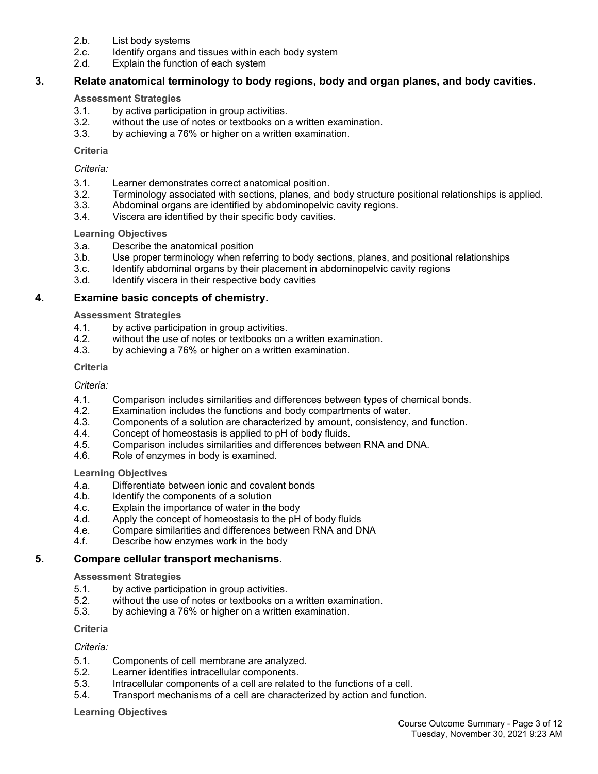- 2.b. List body systems
- 2.c. Identify organs and tissues within each body system
- 2.d. Explain the function of each system

## **3. Relate anatomical terminology to body regions, body and organ planes, and body cavities.**

#### **Assessment Strategies**

- 3.1. by active participation in group activities.
- 3.2. without the use of notes or textbooks on a written examination.
- 3.3. by achieving a 76% or higher on a written examination.

## **Criteria**

## *Criteria:*

- 3.1. Learner demonstrates correct anatomical position.
- 3.2. Terminology associated with sections, planes, and body structure positional relationships is applied.
- 3.3. Abdominal organs are identified by abdominopelvic cavity regions.
- 3.4. Viscera are identified by their specific body cavities.

## **Learning Objectives**

- 3.a. Describe the anatomical position
- 3.b. Use proper terminology when referring to body sections, planes, and positional relationships
- 3.c. Identify abdominal organs by their placement in abdominopelvic cavity regions
- 3.d. Identify viscera in their respective body cavities

## **4. Examine basic concepts of chemistry.**

## **Assessment Strategies**

- 4.1. by active participation in group activities.
- 4.2. without the use of notes or textbooks on a written examination.<br>4.3. by achieving a 76% or higher on a written examination.
- by achieving a 76% or higher on a written examination.

## **Criteria**

## *Criteria:*

- 4.1. Comparison includes similarities and differences between types of chemical bonds.
- 4.2. Examination includes the functions and body compartments of water.<br>4.3. Components of a solution are characterized by amount, consistency,
- Components of a solution are characterized by amount, consistency, and function.
- 4.4. Concept of homeostasis is applied to pH of body fluids.
- 4.5. Comparison includes similarities and differences between RNA and DNA.
- 4.6. Role of enzymes in body is examined.

## **Learning Objectives**

- 4.a. Differentiate between ionic and covalent bonds
- 4.b. Identify the components of a solution
- 4.c. Explain the importance of water in the body
- 4.d. Apply the concept of homeostasis to the pH of body fluids
- 4.e. Compare similarities and differences between RNA and DNA
- 4.f. Describe how enzymes work in the body

## **5. Compare cellular transport mechanisms.**

#### **Assessment Strategies**

- 5.1. by active participation in group activities.
- 5.2. without the use of notes or textbooks on a written examination.
- 5.3. by achieving a 76% or higher on a written examination.

#### **Criteria**

## *Criteria:*

- 5.1. Components of cell membrane are analyzed.
- 5.2. Learner identifies intracellular components.
- 5.3. Intracellular components of a cell are related to the functions of a cell.
- 5.4. Transport mechanisms of a cell are characterized by action and function.

#### **Learning Objectives**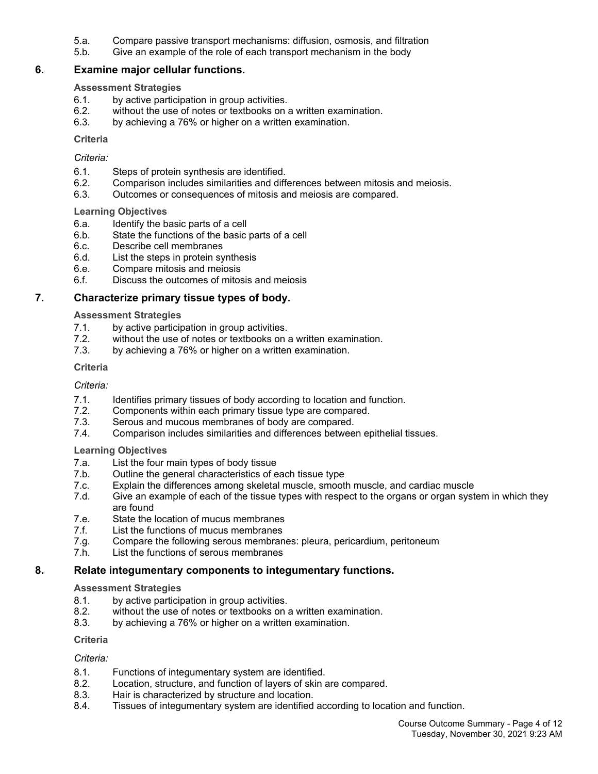- 5.a. Compare passive transport mechanisms: diffusion, osmosis, and filtration
- 5.b. Give an example of the role of each transport mechanism in the body

## **6. Examine major cellular functions.**

## **Assessment Strategies**

- 6.1. by active participation in group activities.
- 6.2. without the use of notes or textbooks on a written examination.
- 6.3. by achieving a 76% or higher on a written examination.

## **Criteria**

## *Criteria:*

- 6.1. Steps of protein synthesis are identified.
- 6.2. Comparison includes similarities and differences between mitosis and meiosis.
- 6.3. Outcomes or consequences of mitosis and meiosis are compared.

## **Learning Objectives**

- 6.a. Identify the basic parts of a cell
- 6.b. State the functions of the basic parts of a cell
- 6.c. Describe cell membranes
- 6.d. List the steps in protein synthesis
- 6.e. Compare mitosis and meiosis
- 6.f. Discuss the outcomes of mitosis and meiosis

## **7. Characterize primary tissue types of body.**

## **Assessment Strategies**

- 7.1. by active participation in group activities.
- 7.2. without the use of notes or textbooks on a written examination.<br>7.3. by achieving a 76% or higher on a written examination.
- by achieving a 76% or higher on a written examination.

## **Criteria**

## *Criteria:*

- 7.1. Identifies primary tissues of body according to location and function.
- 7.2. Components within each primary tissue type are compared.
- 7.3. Serous and mucous membranes of body are compared.
- 7.4. Comparison includes similarities and differences between epithelial tissues.

## **Learning Objectives**

- 7.a. List the four main types of body tissue
- 7.b. Outline the general characteristics of each tissue type
- 7.c. Explain the differences among skeletal muscle, smooth muscle, and cardiac muscle
- 7.d. Give an example of each of the tissue types with respect to the organs or organ system in which they are found
- 7.e. State the location of mucus membranes
- 7.f. List the functions of mucus membranes
- 7.g. Compare the following serous membranes: pleura, pericardium, peritoneum
- 7.h. List the functions of serous membranes

## **8. Relate integumentary components to integumentary functions.**

#### **Assessment Strategies**

- 8.1. by active participation in group activities.
- 8.2. without the use of notes or textbooks on a written examination.
- 8.3. by achieving a 76% or higher on a written examination.

#### **Criteria**

## *Criteria:*

- 8.1. Functions of integumentary system are identified.
- 8.2. Location, structure, and function of layers of skin are compared.
- 8.3. Hair is characterized by structure and location.
- 8.4. Tissues of integumentary system are identified according to location and function.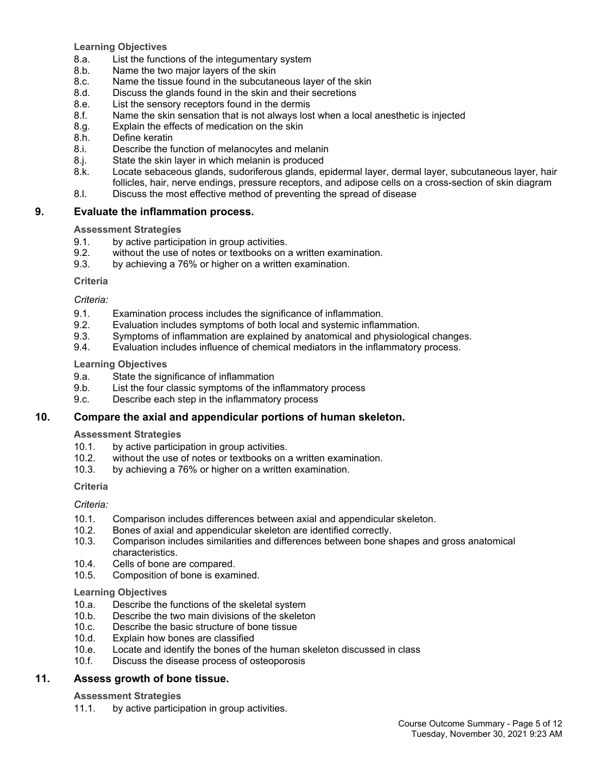**Learning Objectives**

- 8.a. List the functions of the integumentary system
- 8.b. Name the two major layers of the skin
- 8.c. Name the tissue found in the subcutaneous layer of the skin
- 8.d. Discuss the glands found in the skin and their secretions
- 8.e. List the sensory receptors found in the dermis
- 8.f. Name the skin sensation that is not always lost when a local anesthetic is injected
- 8.g. Explain the effects of medication on the skin
- 8.h. Define keratin
- 8.i. Describe the function of melanocytes and melanin
- 8.j. State the skin layer in which melanin is produced
- 8.k. Locate sebaceous glands, sudoriferous glands, epidermal layer, dermal layer, subcutaneous layer, hair follicles, hair, nerve endings, pressure receptors, and adipose cells on a cross-section of skin diagram
- 8.l. Discuss the most effective method of preventing the spread of disease

## **9. Evaluate the inflammation process.**

## **Assessment Strategies**

- 9.1. by active participation in group activities.
- 9.2. without the use of notes or textbooks on a written examination.
- 9.3. by achieving a 76% or higher on a written examination.

#### **Criteria**

## *Criteria:*

- 9.1. Examination process includes the significance of inflammation.
- 9.2. Evaluation includes symptoms of both local and systemic inflammation.
- 9.3. Symptoms of inflammation are explained by anatomical and physiological changes.
- 9.4. Evaluation includes influence of chemical mediators in the inflammatory process.

## **Learning Objectives**

- 9.a. State the significance of inflammation
- 9.b. List the four classic symptoms of the inflammatory process
- 9.c. Describe each step in the inflammatory process

## **10. Compare the axial and appendicular portions of human skeleton.**

## **Assessment Strategies**

- 10.1. by active participation in group activities.<br>10.2. without the use of notes or textbooks on a
- without the use of notes or textbooks on a written examination.
- 10.3. by achieving a 76% or higher on a written examination.

## **Criteria**

## *Criteria:*

- 10.1. Comparison includes differences between axial and appendicular skeleton.
- 10.2. Bones of axial and appendicular skeleton are identified correctly.
- 10.3. Comparison includes similarities and differences between bone shapes and gross anatomical characteristics.
- 10.4. Cells of bone are compared.
- 10.5. Composition of bone is examined.

## **Learning Objectives**

- 10.a. Describe the functions of the skeletal system
- 10.b. Describe the two main divisions of the skeleton
- 10.c. Describe the basic structure of bone tissue
- 10.d. Explain how bones are classified
- 10.e. Locate and identify the bones of the human skeleton discussed in class
- 10.f. Discuss the disease process of osteoporosis

## **11. Assess growth of bone tissue.**

## **Assessment Strategies**

11.1. by active participation in group activities.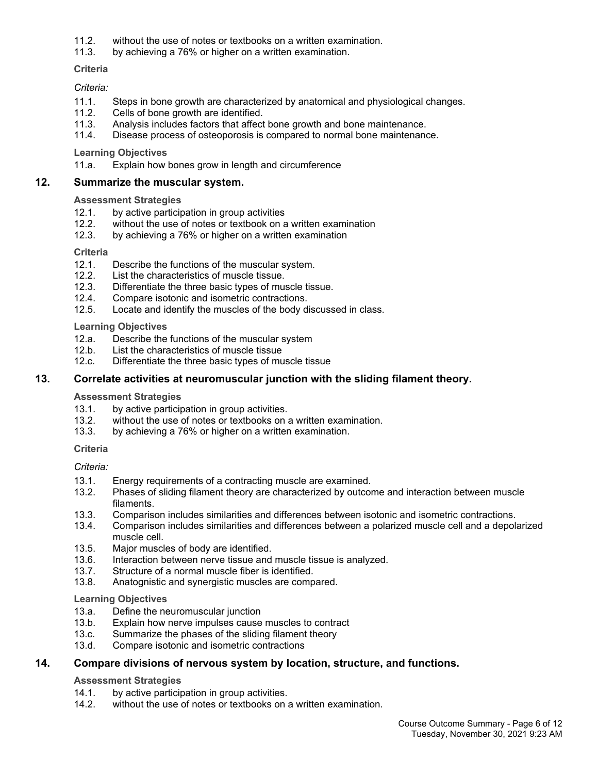- 11.2. without the use of notes or textbooks on a written examination.
- 11.3. by achieving a 76% or higher on a written examination.

**Criteria**

## *Criteria:*

- 11.1. Steps in bone growth are characterized by anatomical and physiological changes.
- 11.2. Cells of bone growth are identified.
- 11.3. Analysis includes factors that affect bone growth and bone maintenance.
- 11.4. Disease process of osteoporosis is compared to normal bone maintenance.

## **Learning Objectives**

11.a. Explain how bones grow in length and circumference

## **12. Summarize the muscular system.**

## **Assessment Strategies**

- 12.1. by active participation in group activities
- 12.2. without the use of notes or textbook on a written examination
- 12.3. by achieving a 76% or higher on a written examination

## **Criteria**

- 12.1. Describe the functions of the muscular system.
- 12.2. List the characteristics of muscle tissue.
- 12.3. Differentiate the three basic types of muscle tissue.
- 12.4. Compare isotonic and isometric contractions.
- 12.5. Locate and identify the muscles of the body discussed in class.

## **Learning Objectives**

- 12.a. Describe the functions of the muscular system<br>12.b. List the characteristics of muscle tissue
- List the characteristics of muscle tissue
- 12.c. Differentiate the three basic types of muscle tissue

## **13. Correlate activities at neuromuscular junction with the sliding filament theory.**

#### **Assessment Strategies**

- 13.1. by active participation in group activities.
- 13.2. without the use of notes or textbooks on a written examination.
- 13.3. by achieving a 76% or higher on a written examination.

#### **Criteria**

## *Criteria:*

- 13.1. Energy requirements of a contracting muscle are examined.
- 13.2. Phases of sliding filament theory are characterized by outcome and interaction between muscle filaments.
- 13.3. Comparison includes similarities and differences between isotonic and isometric contractions.
- 13.4. Comparison includes similarities and differences between a polarized muscle cell and a depolarized muscle cell.
- 13.5. Major muscles of body are identified.
- 13.6. Interaction between nerve tissue and muscle tissue is analyzed.
- 13.7. Structure of a normal muscle fiber is identified.
- 13.8. Anatognistic and synergistic muscles are compared.

#### **Learning Objectives**

- 13.a. Define the neuromuscular junction
- 13.b. Explain how nerve impulses cause muscles to contract
- 13.c. Summarize the phases of the sliding filament theory
- 13.d. Compare isotonic and isometric contractions

## **14. Compare divisions of nervous system by location, structure, and functions.**

## **Assessment Strategies**

- 14.1. by active participation in group activities.
- 14.2. without the use of notes or textbooks on a written examination.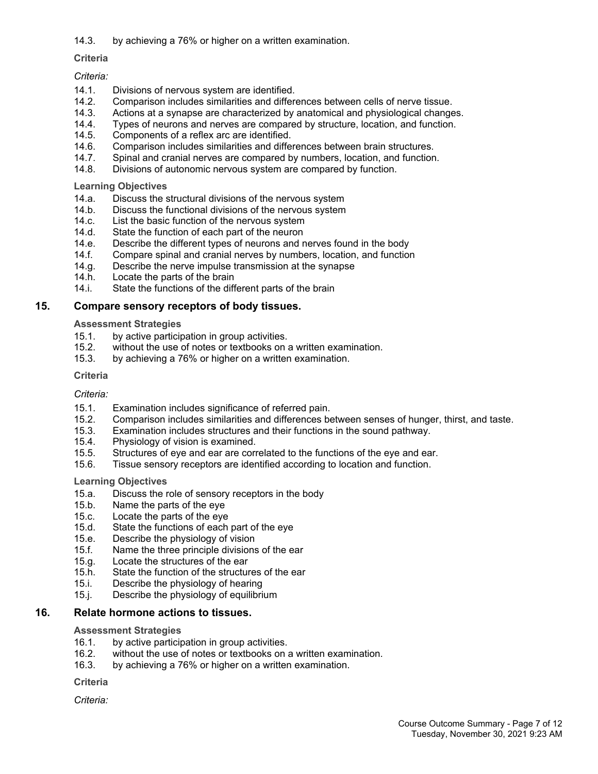14.3. by achieving a 76% or higher on a written examination.

## **Criteria**

## *Criteria:*

- 14.1. Divisions of nervous system are identified.
- 14.2. Comparison includes similarities and differences between cells of nerve tissue.
- 14.3. Actions at a synapse are characterized by anatomical and physiological changes.
- 14.4. Types of neurons and nerves are compared by structure, location, and function.
- 14.5. Components of a reflex arc are identified.
- 14.6. Comparison includes similarities and differences between brain structures.
- 14.7. Spinal and cranial nerves are compared by numbers, location, and function.
- 14.8. Divisions of autonomic nervous system are compared by function.

**Learning Objectives**

- 14.a. Discuss the structural divisions of the nervous system
- 14.b. Discuss the functional divisions of the nervous system<br>14.c. List the basic function of the nervous system
- List the basic function of the nervous system
- 14.d. State the function of each part of the neuron
- 14.e. Describe the different types of neurons and nerves found in the body
- 14.f. Compare spinal and cranial nerves by numbers, location, and function
- 14.g. Describe the nerve impulse transmission at the synapse
- 14.h. Locate the parts of the brain
- 14.i. State the functions of the different parts of the brain

## **15. Compare sensory receptors of body tissues.**

## **Assessment Strategies**

- 15.1. by active participation in group activities.
- 15.2. without the use of notes or textbooks on a written examination.
- 15.3. by achieving a 76% or higher on a written examination.

#### **Criteria**

## *Criteria:*

- 15.1. Examination includes significance of referred pain.
- 15.2. Comparison includes similarities and differences between senses of hunger, thirst, and taste.
- 15.3. Examination includes structures and their functions in the sound pathway.
- 15.4. Physiology of vision is examined.
- 15.5. Structures of eye and ear are correlated to the functions of the eye and ear.
- 15.6. Tissue sensory receptors are identified according to location and function.

#### **Learning Objectives**

- 15.a. Discuss the role of sensory receptors in the body
- 15.b. Name the parts of the eye
- 15.c. Locate the parts of the eye
- 15.d. State the functions of each part of the eye
- 15.e. Describe the physiology of vision
- 15.f. Name the three principle divisions of the ear
- 15.g. Locate the structures of the ear
- 15.h. State the function of the structures of the ear
- 15.i. Describe the physiology of hearing
- 15.j. Describe the physiology of equilibrium

## **16. Relate hormone actions to tissues.**

#### **Assessment Strategies**

- 16.1. by active participation in group activities.
- 16.2. without the use of notes or textbooks on a written examination.
- 16.3. by achieving a 76% or higher on a written examination.

**Criteria**

*Criteria:*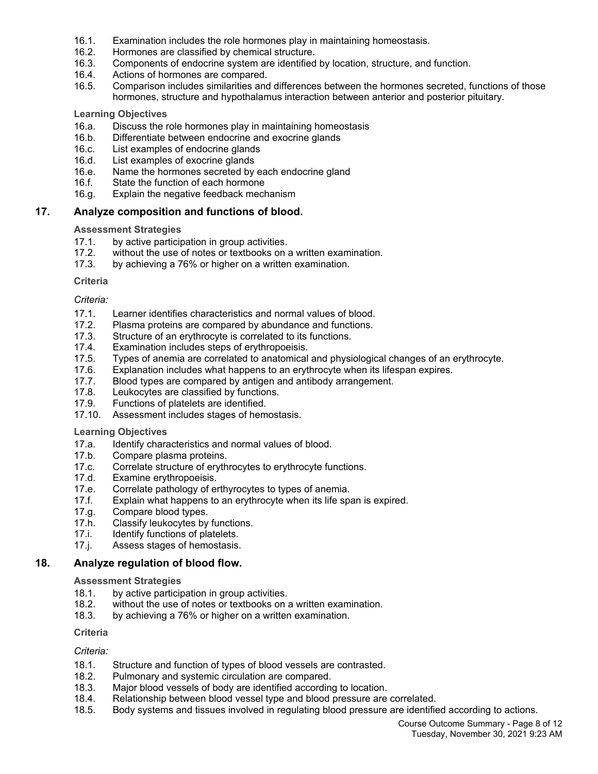- 16.1. Examination includes the role hormones play in maintaining homeostasis.
- 16.2. Hormones are classified by chemical structure.
- 16.3. Components of endocrine system are identified by location, structure, and function.
- 16.4. Actions of hormones are compared.
- 16.5. Comparison includes similarities and differences between the hormones secreted, functions of those hormones, structure and hypothalamus interaction between anterior and posterior pituitary.

## **Learning Objectives**

- 16.a. Discuss the role hormones play in maintaining homeostasis
- 16.b. Differentiate between endocrine and exocrine glands
- 16.c. List examples of endocrine glands
- 16.d. List examples of exocrine glands
- 16.e. Name the hormones secreted by each endocrine gland
- 16.f. State the function of each hormone
- 16.g. Explain the negative feedback mechanism

## **17. Analyze composition and functions of blood.**

## **Assessment Strategies**

- 17.1. by active participation in group activities.
- 17.2. without the use of notes or textbooks on a written examination.<br>17.3. by achieving a 76% or higher on a written examination.
- by achieving a 76% or higher on a written examination.

## **Criteria**

## *Criteria:*

- 17.1. Learner identifies characteristics and normal values of blood.
- 17.2. Plasma proteins are compared by abundance and functions.
- 17.3. Structure of an erythrocyte is correlated to its functions.
- 17.4. Examination includes steps of erythropoeisis.
- 17.5. Types of anemia are correlated to anatomical and physiological changes of an erythrocyte.
- 17.6. Explanation includes what happens to an erythrocyte when its lifespan expires.
- 17.7. Blood types are compared by antigen and antibody arrangement.
- 17.8. Leukocytes are classified by functions.
- 17.9. Functions of platelets are identified.
- 17.10. Assessment includes stages of hemostasis.

## **Learning Objectives**

- 17.a. Identify characteristics and normal values of blood.
- 17.b. Compare plasma proteins.
- 17.c. Correlate structure of erythrocytes to erythrocyte functions.
- 17.d. Examine erythropoeisis.<br>17.e. Correlate pathology of e
- Correlate pathology of erthyrocytes to types of anemia.
- 17.f. Explain what happens to an erythrocyte when its life span is expired.
- 17.g. Compare blood types.
- 17.h. Classify leukocytes by functions.
- 17.i. Identify functions of platelets.
- 17.j. Assess stages of hemostasis.

#### **18. Analyze regulation of blood flow.**

#### **Assessment Strategies**

- 18.1. by active participation in group activities.
- 18.2. without the use of notes or textbooks on a written examination.
- 18.3. by achieving a 76% or higher on a written examination.

#### **Criteria**

## *Criteria:*

- 18.1. Structure and function of types of blood vessels are contrasted.
- 18.2. Pulmonary and systemic circulation are compared.
- 18.3. Major blood vessels of body are identified according to location.
- 18.4. Relationship between blood vessel type and blood pressure are correlated.
- 18.5. Body systems and tissues involved in regulating blood pressure are identified according to actions.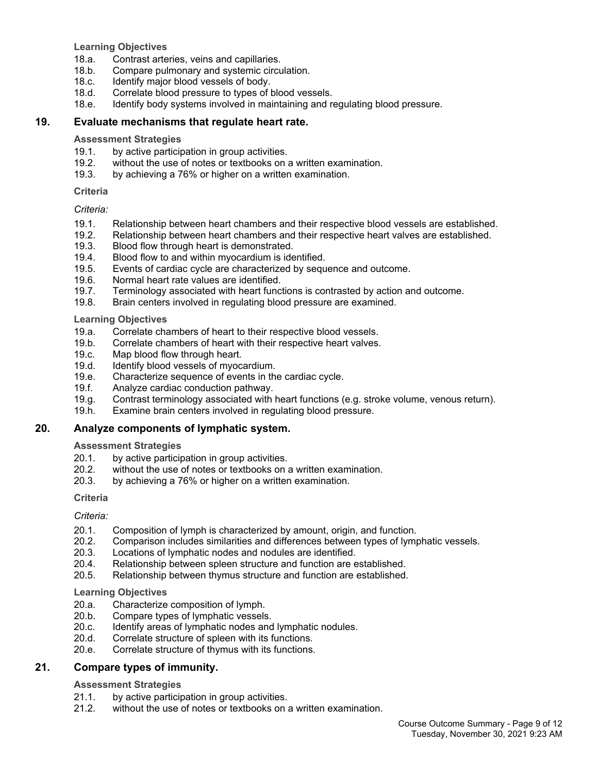**Learning Objectives**

- 18.a. Contrast arteries, veins and capillaries.
- 18.b. Compare pulmonary and systemic circulation.
- 18.c. Identify major blood vessels of body.
- 18.d. Correlate blood pressure to types of blood vessels.
- 18.e. Identify body systems involved in maintaining and regulating blood pressure.

## **19. Evaluate mechanisms that regulate heart rate.**

## **Assessment Strategies**

- 19.1. by active participation in group activities.
- 19.2. without the use of notes or textbooks on a written examination.
- 19.3. by achieving a 76% or higher on a written examination.

## **Criteria**

## *Criteria:*

- 19.1. Relationship between heart chambers and their respective blood vessels are established.
- 19.2. Relationship between heart chambers and their respective heart valves are established.
- 19.3. Blood flow through heart is demonstrated.
- 19.4. Blood flow to and within myocardium is identified.
- 19.5. Events of cardiac cycle are characterized by sequence and outcome.
- 19.6. Normal heart rate values are identified.
- 19.7. Terminology associated with heart functions is contrasted by action and outcome.
- 19.8. Brain centers involved in regulating blood pressure are examined.

## **Learning Objectives**

- 19.a. Correlate chambers of heart to their respective blood vessels.
- 19.b. Correlate chambers of heart with their respective heart valves.
- 19.c. Map blood flow through heart.<br>19.d. Identify blood vessels of myoca
- Identify blood vessels of myocardium.
- 19.e. Characterize sequence of events in the cardiac cycle.
- 19.f. Analyze cardiac conduction pathway.
- 19.g. Contrast terminology associated with heart functions (e.g. stroke volume, venous return).
- 19.h. Examine brain centers involved in regulating blood pressure.

## **20. Analyze components of lymphatic system.**

## **Assessment Strategies**

- 20.1. by active participation in group activities.
- 20.2. without the use of notes or textbooks on a written examination.
- 20.3. by achieving a 76% or higher on a written examination.

## **Criteria**

## *Criteria:*

- 20.1. Composition of lymph is characterized by amount, origin, and function.
- 20.2. Comparison includes similarities and differences between types of lymphatic vessels.
- 20.3. Locations of lymphatic nodes and nodules are identified.<br>20.4. Relationship between spleen structure and function are e
- Relationship between spleen structure and function are established.
- 20.5. Relationship between thymus structure and function are established.

## **Learning Objectives**

- 20.a. Characterize composition of lymph.<br>20.b. Compare types of lymphatic vessels
- Compare types of lymphatic vessels.
- 20.c. Identify areas of lymphatic nodes and lymphatic nodules.
- 20.d. Correlate structure of spleen with its functions.
- 20.e. Correlate structure of thymus with its functions.

## **21. Compare types of immunity.**

## **Assessment Strategies**

- 21.1. by active participation in group activities.
- 21.2. without the use of notes or textbooks on a written examination.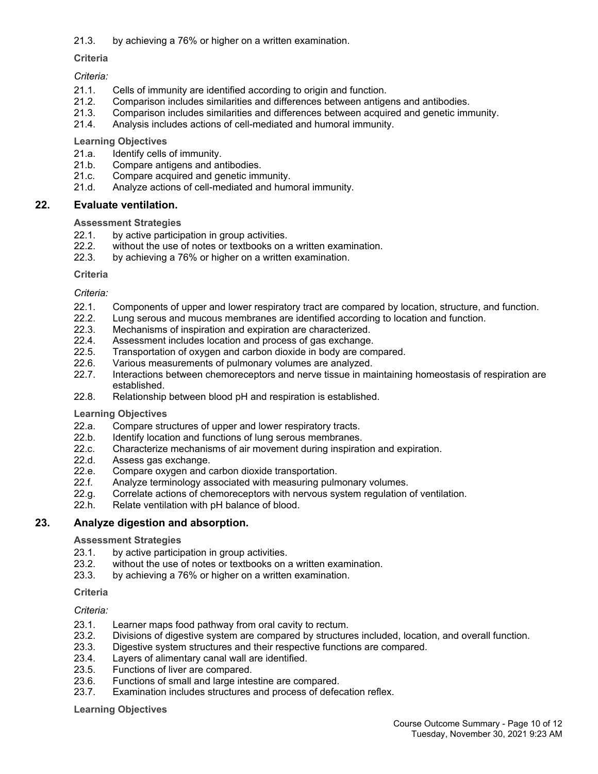## 21.3. by achieving a 76% or higher on a written examination.

## **Criteria**

## *Criteria:*

- 21.1. Cells of immunity are identified according to origin and function.
- 21.2. Comparison includes similarities and differences between antigens and antibodies.
- 21.3. Comparison includes similarities and differences between acquired and genetic immunity.
- 21.4. Analysis includes actions of cell-mediated and humoral immunity.

## **Learning Objectives**

- 21.a. Identify cells of immunity.
- 21.b. Compare antigens and antibodies.
- 21.c. Compare acquired and genetic immunity.
- 21.d. Analyze actions of cell-mediated and humoral immunity.

## **22. Evaluate ventilation.**

## **Assessment Strategies**

- 22.1. by active participation in group activities.
- 22.2. without the use of notes or textbooks on a written examination.<br>22.3. by achieving a 76% or higher on a written examination.
- by achieving a 76% or higher on a written examination.

## **Criteria**

## *Criteria:*

- 22.1. Components of upper and lower respiratory tract are compared by location, structure, and function.
- 22.2. Lung serous and mucous membranes are identified according to location and function.<br>22.3. Mechanisms of inspiration and expiration are characterized.
- Mechanisms of inspiration and expiration are characterized.
- 22.4. Assessment includes location and process of gas exchange.
- 22.5. Transportation of oxygen and carbon dioxide in body are compared.
- 22.6. Various measurements of pulmonary volumes are analyzed.
- 22.7. Interactions between chemoreceptors and nerve tissue in maintaining homeostasis of respiration are established.
- 22.8. Relationship between blood pH and respiration is established.

## **Learning Objectives**

- 22.a. Compare structures of upper and lower respiratory tracts.
- 22.b. Identify location and functions of lung serous membranes.
- 22.c. Characterize mechanisms of air movement during inspiration and expiration.
- 22.d. Assess gas exchange.
- 22.e. Compare oxygen and carbon dioxide transportation.
- 22.f. Analyze terminology associated with measuring pulmonary volumes.
- 22.g. Correlate actions of chemoreceptors with nervous system regulation of ventilation.
- 22.h. Relate ventilation with pH balance of blood.

## **23. Analyze digestion and absorption.**

#### **Assessment Strategies**

- 23.1. by active participation in group activities.<br>23.2. without the use of notes or textbooks on
- without the use of notes or textbooks on a written examination.
- 23.3. by achieving a 76% or higher on a written examination.

#### **Criteria**

## *Criteria:*

- 23.1. Learner maps food pathway from oral cavity to rectum.
- 23.2. Divisions of digestive system are compared by structures included, location, and overall function.
- 23.3. Digestive system structures and their respective functions are compared.
- 23.4. Layers of alimentary canal wall are identified.
- 23.5. Functions of liver are compared.
- 23.6. Functions of small and large intestine are compared.
- 23.7. Examination includes structures and process of defecation reflex.

#### **Learning Objectives**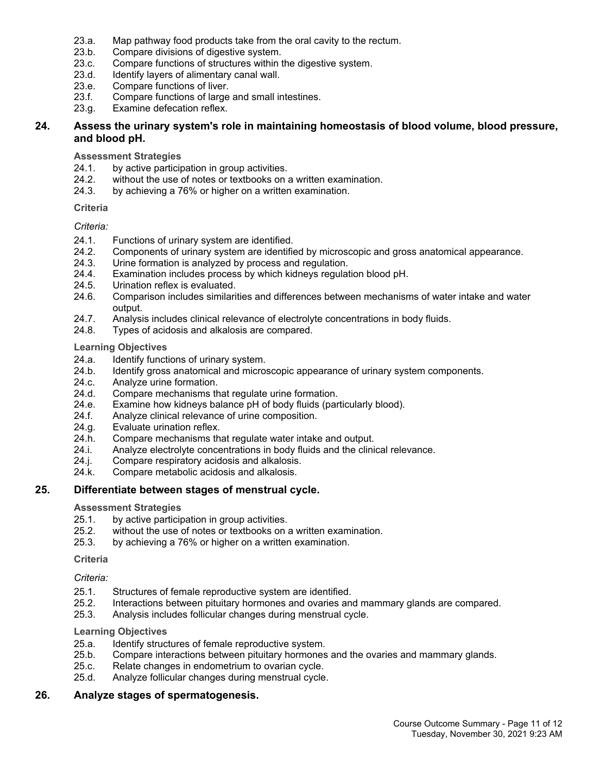- 23.a. Map pathway food products take from the oral cavity to the rectum.
- 23.b. Compare divisions of digestive system.
- 23.c. Compare functions of structures within the digestive system.
- 23.d. Identify layers of alimentary canal wall.
- 23.e. Compare functions of liver.
- 23.f. Compare functions of large and small intestines.
- 23.g. Examine defecation reflex.

## **24. Assess the urinary system's role in maintaining homeostasis of blood volume, blood pressure, and blood pH.**

**Assessment Strategies**

- 24.1. by active participation in group activities.
- 24.2. without the use of notes or textbooks on a written examination.
- 24.3. by achieving a 76% or higher on a written examination.

## **Criteria**

## *Criteria:*

- 24.1. Functions of urinary system are identified.
- 24.2. Components of urinary system are identified by microscopic and gross anatomical appearance.
- 24.3. Urine formation is analyzed by process and regulation.
- 24.4. Examination includes process by which kidneys regulation blood pH.<br>24.5. Urination reflex is evaluated.
- Urination reflex is evaluated.
- 24.6. Comparison includes similarities and differences between mechanisms of water intake and water output.
- 24.7. Analysis includes clinical relevance of electrolyte concentrations in body fluids.
- 24.8. Types of acidosis and alkalosis are compared.

## **Learning Objectives**

- 24.a. Identify functions of urinary system.
- 24.b. Identify gross anatomical and microscopic appearance of urinary system components.
- 24.c. Analyze urine formation.
- 24.d. Compare mechanisms that regulate urine formation.
- 24.e. Examine how kidneys balance pH of body fluids (particularly blood).
- 24.f. Analyze clinical relevance of urine composition.
- 24.g. Evaluate urination reflex.
- 24.h. Compare mechanisms that regulate water intake and output.
- 24.i. Analyze electrolyte concentrations in body fluids and the clinical relevance.
- 24.j. Compare respiratory acidosis and alkalosis.
- 24.k. Compare metabolic acidosis and alkalosis.

## **25. Differentiate between stages of menstrual cycle.**

#### **Assessment Strategies**

- 25.1. by active participation in group activities.
- 25.2. without the use of notes or textbooks on a written examination.
- 25.3. by achieving a 76% or higher on a written examination.

**Criteria**

## *Criteria:*

- 25.1. Structures of female reproductive system are identified.<br>25.2. Interactions between pituitary hormones and ovaries and
- 25.2. Interactions between pituitary hormones and ovaries and mammary glands are compared.
- 25.3. Analysis includes follicular changes during menstrual cycle.

#### **Learning Objectives**

- 25.a. Identify structures of female reproductive system.
- 25.b. Compare interactions between pituitary hormones and the ovaries and mammary glands.
- 25.c. Relate changes in endometrium to ovarian cycle.
- 25.d. Analyze follicular changes during menstrual cycle.

## **26. Analyze stages of spermatogenesis.**